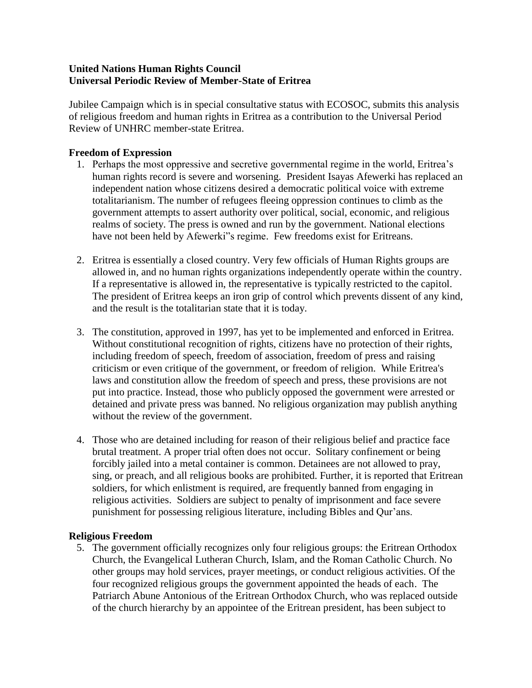# **United Nations Human Rights Council Universal Periodic Review of Member-State of Eritrea**

Jubilee Campaign which is in special consultative status with ECOSOC, submits this analysis of religious freedom and human rights in Eritrea as a contribution to the Universal Period Review of UNHRC member-state Eritrea.

# **Freedom of Expression**

- 1. Perhaps the most oppressive and secretive governmental regime in the world, Eritrea's human rights record is severe and worsening. President Isayas Afewerki has replaced an independent nation whose citizens desired a democratic political voice with extreme totalitarianism. The number of refugees fleeing oppression continues to climb as the government attempts to assert authority over political, social, economic, and religious realms of society. The press is owned and run by the government. National elections have not been held by Afewerki"s regime. Few freedoms exist for Eritreans.
- 2. Eritrea is essentially a closed country. Very few officials of Human Rights groups are allowed in, and no human rights organizations independently operate within the country. If a representative is allowed in, the representative is typically restricted to the capitol. The president of Eritrea keeps an iron grip of control which prevents dissent of any kind, and the result is the totalitarian state that it is today.
- 3. The constitution, approved in 1997, has yet to be implemented and enforced in Eritrea. Without constitutional recognition of rights, citizens have no protection of their rights, including freedom of speech, freedom of association, freedom of press and raising criticism or even critique of the government, or freedom of religion. While Eritrea's laws and constitution allow the freedom of speech and press, these provisions are not put into practice. Instead, those who publicly opposed the government were arrested or detained and private press was banned. No religious organization may publish anything without the review of the government.
- 4. Those who are detained including for reason of their religious belief and practice face brutal treatment. A proper trial often does not occur. Solitary confinement or being forcibly jailed into a metal container is common. Detainees are not allowed to pray, sing, or preach, and all religious books are prohibited. Further, it is reported that Eritrean soldiers, for which enlistment is required, are frequently banned from engaging in religious activities. Soldiers are subject to penalty of imprisonment and face severe punishment for possessing religious literature, including Bibles and Qur'ans.

### **Religious Freedom**

5. The government officially recognizes only four religious groups: the Eritrean Orthodox Church, the Evangelical Lutheran Church, Islam, and the Roman Catholic Church. No other groups may hold services, prayer meetings, or conduct religious activities. Of the four recognized religious groups the government appointed the heads of each. The Patriarch Abune Antonious of the Eritrean Orthodox Church, who was replaced outside of the church hierarchy by an appointee of the Eritrean president, has been subject to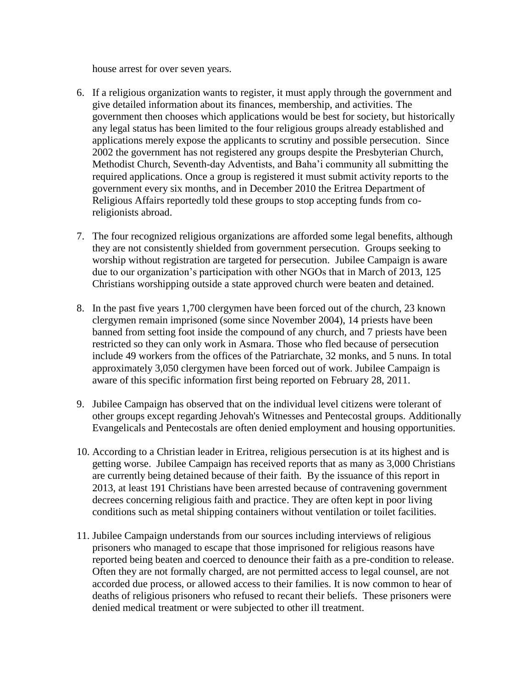house arrest for over seven years.

- 6. If a religious organization wants to register, it must apply through the government and give detailed information about its finances, membership, and activities. The government then chooses which applications would be best for society, but historically any legal status has been limited to the four religious groups already established and applications merely expose the applicants to scrutiny and possible persecution. Since 2002 the government has not registered any groups despite the Presbyterian Church, Methodist Church, Seventh-day Adventists, and Baha'i community all submitting the required applications. Once a group is registered it must submit activity reports to the government every six months, and in December 2010 the Eritrea Department of Religious Affairs reportedly told these groups to stop accepting funds from coreligionists abroad.
- 7. The four recognized religious organizations are afforded some legal benefits, although they are not consistently shielded from government persecution. Groups seeking to worship without registration are targeted for persecution. Jubilee Campaign is aware due to our organization's participation with other NGOs that in March of 2013, 125 Christians worshipping outside a state approved church were beaten and detained.
- 8. In the past five years 1,700 clergymen have been forced out of the church, 23 known clergymen remain imprisoned (some since November 2004), 14 priests have been banned from setting foot inside the compound of any church, and 7 priests have been restricted so they can only work in Asmara. Those who fled because of persecution include 49 workers from the offices of the Patriarchate, 32 monks, and 5 nuns. In total approximately 3,050 clergymen have been forced out of work. Jubilee Campaign is aware of this specific information first being reported on February 28, 2011.
- 9. Jubilee Campaign has observed that on the individual level citizens were tolerant of other groups except regarding Jehovah's Witnesses and Pentecostal groups. Additionally Evangelicals and Pentecostals are often denied employment and housing opportunities.
- 10. According to a Christian leader in Eritrea, religious persecution is at its highest and is getting worse. Jubilee Campaign has received reports that as many as 3,000 Christians are currently being detained because of their faith. By the issuance of this report in 2013, at least 191 Christians have been arrested because of contravening government decrees concerning religious faith and practice. They are often kept in poor living conditions such as metal shipping containers without ventilation or toilet facilities.
- 11. Jubilee Campaign understands from our sources including interviews of religious prisoners who managed to escape that those imprisoned for religious reasons have reported being beaten and coerced to denounce their faith as a pre-condition to release. Often they are not formally charged, are not permitted access to legal counsel, are not accorded due process, or allowed access to their families. It is now common to hear of deaths of religious prisoners who refused to recant their beliefs. These prisoners were denied medical treatment or were subjected to other ill treatment.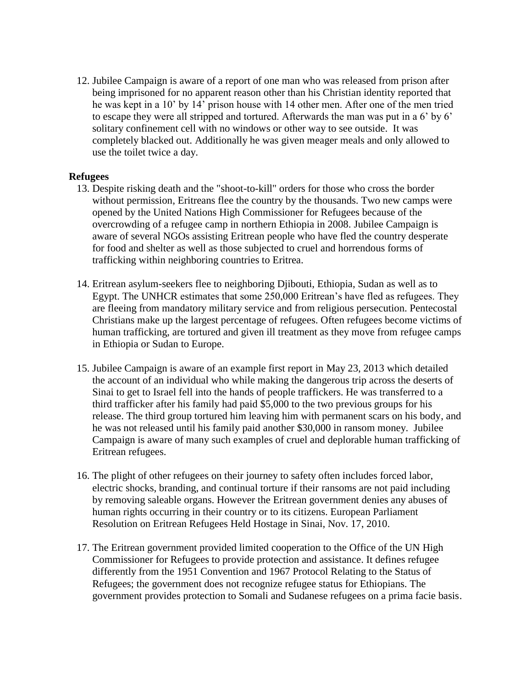12. Jubilee Campaign is aware of a report of one man who was released from prison after being imprisoned for no apparent reason other than his Christian identity reported that he was kept in a 10' by 14' prison house with 14 other men. After one of the men tried to escape they were all stripped and tortured. Afterwards the man was put in a 6' by 6' solitary confinement cell with no windows or other way to see outside. It was completely blacked out. Additionally he was given meager meals and only allowed to use the toilet twice a day.

### **Refugees**

- 13. Despite risking death and the "shoot-to-kill" orders for those who cross the border without permission, Eritreans flee the country by the thousands. Two new camps were opened by the United Nations High Commissioner for Refugees because of the overcrowding of a refugee camp in northern Ethiopia in 2008. Jubilee Campaign is aware of several NGOs assisting Eritrean people who have fled the country desperate for food and shelter as well as those subjected to cruel and horrendous forms of trafficking within neighboring countries to Eritrea.
- 14. Eritrean asylum-seekers flee to neighboring Djibouti, Ethiopia, Sudan as well as to Egypt. The UNHCR estimates that some 250,000 Eritrean's have fled as refugees. They are fleeing from mandatory military service and from religious persecution. Pentecostal Christians make up the largest percentage of refugees. Often refugees become victims of human trafficking, are tortured and given ill treatment as they move from refugee camps in Ethiopia or Sudan to Europe.
- 15. Jubilee Campaign is aware of an example first report in May 23, 2013 which detailed the account of an individual who while making the dangerous trip across the deserts of Sinai to get to Israel fell into the hands of people traffickers. He was transferred to a third trafficker after his family had paid \$5,000 to the two previous groups for his release. The third group tortured him leaving him with permanent scars on his body, and he was not released until his family paid another \$30,000 in ransom money. Jubilee Campaign is aware of many such examples of cruel and deplorable human trafficking of Eritrean refugees.
- 16. The plight of other refugees on their journey to safety often includes forced labor, electric shocks, branding, and continual torture if their ransoms are not paid including by removing saleable organs. However the Eritrean government denies any abuses of human rights occurring in their country or to its citizens. European Parliament Resolution on Eritrean Refugees Held Hostage in Sinai, Nov. 17, 2010.
- 17. The Eritrean government provided limited cooperation to the Office of the UN High Commissioner for Refugees to provide protection and assistance. It defines refugee differently from the 1951 Convention and 1967 Protocol Relating to the Status of Refugees; the government does not recognize refugee status for Ethiopians. The government provides protection to Somali and Sudanese refugees on a prima facie basis.